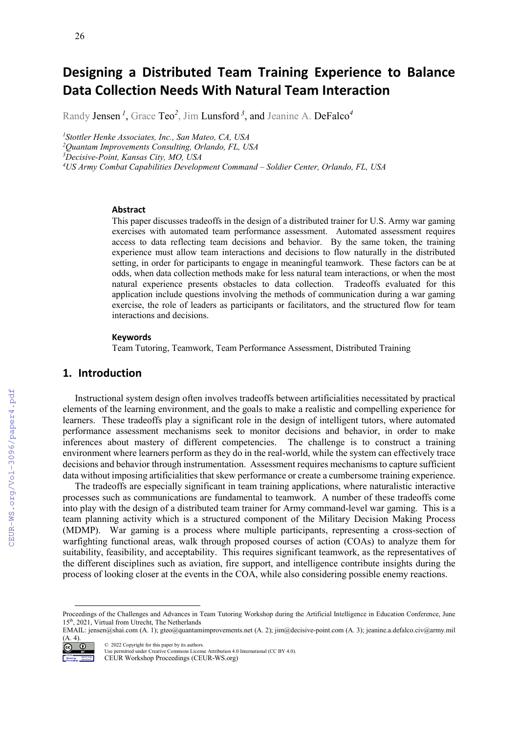# **Designing a Distributed Team Training Experience to Balance Data Collection Needs With Natural Team Interaction**

Randy Jensen *<sup>1</sup>* , Grace Teo*<sup>2</sup>* , Jim Lunsford *<sup>3</sup>* , and Jeanine A. DeFalco*<sup>4</sup>*

*1 Stottler Henke Associates, Inc., San Mateo, CA, USA*

*2 Quantam Improvements Consulting, Orlando, FL, USA*

*3 Decisive-Point, Kansas City, MO, USA*

*4 US Army Combat Capabilities Development Command – Soldier Center, Orlando, FL, USA*

#### **Abstract**

This paper discusses tradeoffs in the design of a distributed trainer for U.S. Army war gaming exercises with automated team performance assessment. Automated assessment requires access to data reflecting team decisions and behavior. By the same token, the training experience must allow team interactions and decisions to flow naturally in the distributed setting, in order for participants to engage in meaningful teamwork. These factors can be at odds, when data collection methods make for less natural team interactions, or when the most natural experience presents obstacles to data collection. Tradeoffs evaluated for this application include questions involving the methods of communication during a war gaming exercise, the role of leaders as participants or facilitators, and the structured flow for team interactions and decisions.

#### **Keywords**

Team Tutoring, Teamwork, Team Performance Assessment, Distributed Training [1](#page-0-0)

## **1. Introduction**

Instructional system design often involves tradeoffs between artificialities necessitated by practical elements of the learning environment, and the goals to make a realistic and compelling experience for learners. These tradeoffs play a significant role in the design of intelligent tutors, where automated performance assessment mechanisms seek to monitor decisions and behavior, in order to make inferences about mastery of different competencies. The challenge is to construct a training environment where learners perform as they do in the real-world, while the system can effectively trace decisions and behavior through instrumentation. Assessment requires mechanisms to capture sufficient data without imposing artificialities that skew performance or create a cumbersome training experience.

The tradeoffs are especially significant in team training applications, where naturalistic interactive processes such as communications are fundamental to teamwork. A number of these tradeoffs come into play with the design of a distributed team trainer for Army command-level war gaming. This is a team planning activity which is a structured component of the Military Decision Making Process (MDMP). War gaming is a process where multiple participants, representing a cross-section of warfighting functional areas, walk through proposed courses of action (COAs) to analyze them for suitability, feasibility, and acceptability. This requires significant teamwork, as the representatives of the different disciplines such as aviation, fire support, and intelligence contribute insights during the process of looking closer at the events in the COA, while also considering possible enemy reactions.

<span id="page-0-0"></span>EMAIL: jensen@shai.com (A. 1); gteo@quantamimprovements.net (A. 2); jim@decisive-point.com (A. 3); jeanine.a.defalco.civ@army.mil (A. 4).



CEUR-WS.org/Vol-3096/paper4.pdf

© 2022 Copyright for this paper by its authors. Use permitted under Creative Commons License Attribution 4.0 International (CC BY 4.0). CEUR Workshop Proceedings (CEUR-WS.org)

Proceedings of the Challenges and Advances in Team Tutoring Workshop during the Artificial Intelligence in Education Conference, June 15th, 2021, Virtual from Utrecht, The Netherlands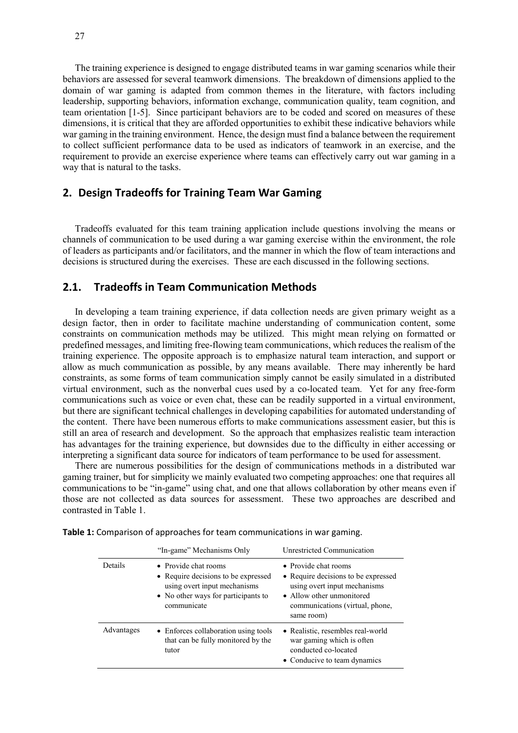The training experience is designed to engage distributed teams in war gaming scenarios while their behaviors are assessed for several teamwork dimensions. The breakdown of dimensions applied to the domain of war gaming is adapted from common themes in the literature, with factors including leadership, supporting behaviors, information exchange, communication quality, team cognition, and team orientation [1-5]. Since participant behaviors are to be coded and scored on measures of these dimensions, it is critical that they are afforded opportunities to exhibit these indicative behaviors while war gaming in the training environment. Hence, the design must find a balance between the requirement to collect sufficient performance data to be used as indicators of teamwork in an exercise, and the requirement to provide an exercise experience where teams can effectively carry out war gaming in a way that is natural to the tasks.

## **2. Design Tradeoffs for Training Team War Gaming**

Tradeoffs evaluated for this team training application include questions involving the means or channels of communication to be used during a war gaming exercise within the environment, the role of leaders as participants and/or facilitators, and the manner in which the flow of team interactions and decisions is structured during the exercises. These are each discussed in the following sections.

#### **2.1. Tradeoffs in Team Communication Methods**

In developing a team training experience, if data collection needs are given primary weight as a design factor, then in order to facilitate machine understanding of communication content, some constraints on communication methods may be utilized. This might mean relying on formatted or predefined messages, and limiting free-flowing team communications, which reduces the realism of the training experience. The opposite approach is to emphasize natural team interaction, and support or allow as much communication as possible, by any means available. There may inherently be hard constraints, as some forms of team communication simply cannot be easily simulated in a distributed virtual environment, such as the nonverbal cues used by a co-located team. Yet for any free-form communications such as voice or even chat, these can be readily supported in a virtual environment, but there are significant technical challenges in developing capabilities for automated understanding of the content. There have been numerous efforts to make communications assessment easier, but this is still an area of research and development. So the approach that emphasizes realistic team interaction has advantages for the training experience, but downsides due to the difficulty in either accessing or interpreting a significant data source for indicators of team performance to be used for assessment.

There are numerous possibilities for the design of communications methods in a distributed war gaming trainer, but for simplicity we mainly evaluated two competing approaches: one that requires all communications to be "in-game" using chat, and one that allows collaboration by other means even if those are not collected as data sources for assessment. These two approaches are described and contrasted in Table 1.

|            | "In-game" Mechanisms Only                                                                                                                         | Unrestricted Communication                                                                                                                                                |
|------------|---------------------------------------------------------------------------------------------------------------------------------------------------|---------------------------------------------------------------------------------------------------------------------------------------------------------------------------|
| Details    | • Provide chat rooms<br>• Require decisions to be expressed<br>using overt input mechanisms<br>• No other ways for participants to<br>communicate | • Provide chat rooms<br>• Require decisions to be expressed<br>using overt input mechanisms<br>• Allow other unmonitored<br>communications (virtual, phone,<br>same room) |
| Advantages | • Enforces collaboration using tools<br>that can be fully monitored by the<br>tutor                                                               | • Realistic, resembles real-world<br>war gaming which is often<br>conducted co-located<br>• Conducive to team dynamics                                                    |

**Table 1:** Comparison of approaches for team communications in war gaming.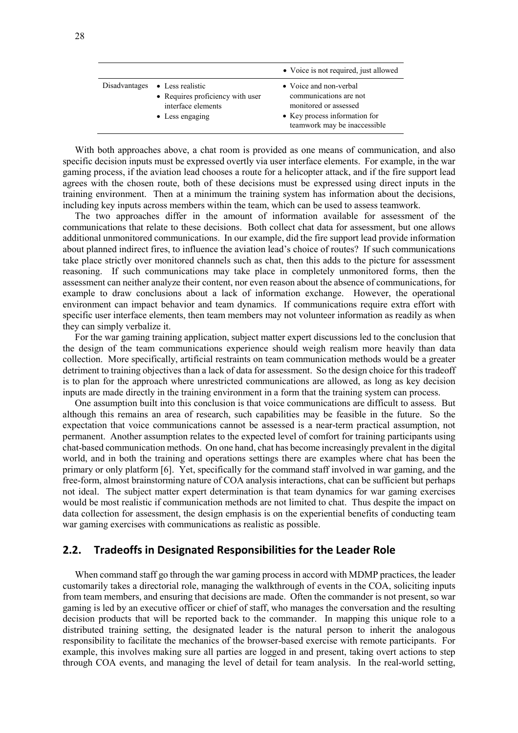|                                                                                                                     | • Voice is not required, just allowed                                                                                                      |
|---------------------------------------------------------------------------------------------------------------------|--------------------------------------------------------------------------------------------------------------------------------------------|
| Disadvantages $\bullet$ Less realistic<br>• Requires proficiency with user<br>interface elements<br>• Less engaging | • Voice and non-verbal<br>communications are not<br>monitored or assessed<br>• Key process information for<br>teamwork may be inaccessible |

With both approaches above, a chat room is provided as one means of communication, and also specific decision inputs must be expressed overtly via user interface elements. For example, in the war gaming process, if the aviation lead chooses a route for a helicopter attack, and if the fire support lead agrees with the chosen route, both of these decisions must be expressed using direct inputs in the training environment. Then at a minimum the training system has information about the decisions, including key inputs across members within the team, which can be used to assess teamwork.

The two approaches differ in the amount of information available for assessment of the communications that relate to these decisions. Both collect chat data for assessment, but one allows additional unmonitored communications. In our example, did the fire support lead provide information about planned indirect fires, to influence the aviation lead's choice of routes? If such communications take place strictly over monitored channels such as chat, then this adds to the picture for assessment reasoning. If such communications may take place in completely unmonitored forms, then the assessment can neither analyze their content, nor even reason about the absence of communications, for example to draw conclusions about a lack of information exchange. However, the operational environment can impact behavior and team dynamics. If communications require extra effort with specific user interface elements, then team members may not volunteer information as readily as when they can simply verbalize it.

For the war gaming training application, subject matter expert discussions led to the conclusion that the design of the team communications experience should weigh realism more heavily than data collection. More specifically, artificial restraints on team communication methods would be a greater detriment to training objectives than a lack of data for assessment. So the design choice for this tradeoff is to plan for the approach where unrestricted communications are allowed, as long as key decision inputs are made directly in the training environment in a form that the training system can process.

One assumption built into this conclusion is that voice communications are difficult to assess. But although this remains an area of research, such capabilities may be feasible in the future. So the expectation that voice communications cannot be assessed is a near-term practical assumption, not permanent. Another assumption relates to the expected level of comfort for training participants using chat-based communication methods. On one hand, chat has become increasingly prevalent in the digital world, and in both the training and operations settings there are examples where chat has been the primary or only platform [6]. Yet, specifically for the command staff involved in war gaming, and the free-form, almost brainstorming nature of COA analysis interactions, chat can be sufficient but perhaps not ideal. The subject matter expert determination is that team dynamics for war gaming exercises would be most realistic if communication methods are not limited to chat. Thus despite the impact on data collection for assessment, the design emphasis is on the experiential benefits of conducting team war gaming exercises with communications as realistic as possible.

### **2.2. Tradeoffs in Designated Responsibilities for the Leader Role**

When command staff go through the war gaming process in accord with MDMP practices, the leader customarily takes a directorial role, managing the walkthrough of events in the COA, soliciting inputs from team members, and ensuring that decisions are made. Often the commander is not present, so war gaming is led by an executive officer or chief of staff, who manages the conversation and the resulting decision products that will be reported back to the commander. In mapping this unique role to a distributed training setting, the designated leader is the natural person to inherit the analogous responsibility to facilitate the mechanics of the browser-based exercise with remote participants. For example, this involves making sure all parties are logged in and present, taking overt actions to step through COA events, and managing the level of detail for team analysis. In the real-world setting,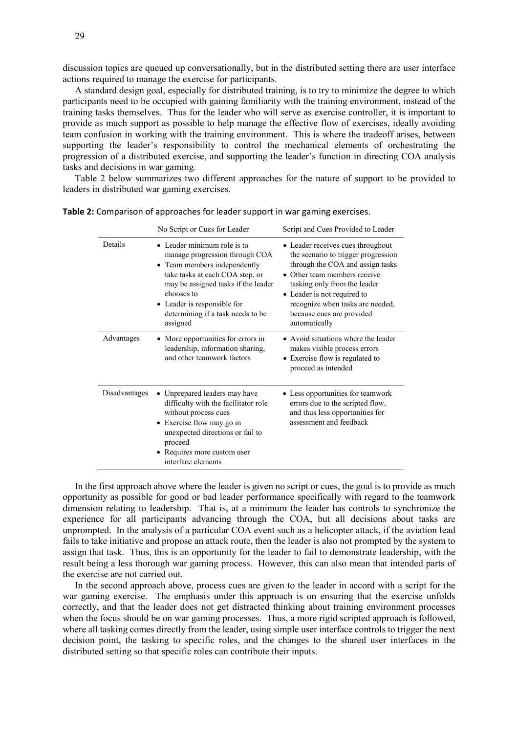discussion topics are queued up conversationally, but in the distributed setting there are user interface actions required to manage the exercise for participants.

A standard design goal, especially for distributed training, is to try to minimize the degree to which participants need to be occupied with gaining familiarity with the training environment, instead of the training tasks themselves. Thus for the leader who will serve as exercise controller, it is important to provide as much support as possible to help manage the effective flow of exercises, ideally avoiding team confusion in working with the training environment. This is where the tradeoff arises, between supporting the leader's responsibility to control the mechanical elements of orchestrating the progression of a distributed exercise, and supporting the leader's function in directing COA analysis tasks and decisions in war gaming.

Table 2 below summarizes two different approaches for the nature of support to be provided to leaders in distributed war gaming exercises.

|               | No Script or Cues for Leader                                                                                                                                                                                                                                          | Script and Cues Provided to Leader                                                                                                                                                                                                                                                            |
|---------------|-----------------------------------------------------------------------------------------------------------------------------------------------------------------------------------------------------------------------------------------------------------------------|-----------------------------------------------------------------------------------------------------------------------------------------------------------------------------------------------------------------------------------------------------------------------------------------------|
| Details       | • Leader minimum role is to<br>manage progression through COA<br>• Team members independently<br>take tasks at each COA step, or<br>may be assigned tasks if the leader<br>chooses to<br>• Leader is responsible for<br>determining if a task needs to be<br>assigned | • Leader receives cues throughout<br>the scenario to trigger progression<br>through the COA and assign tasks<br>• Other team members receive<br>tasking only from the leader<br>• Leader is not required to<br>recognize when tasks are needed,<br>because cues are provided<br>automatically |
| Advantages    | • More opportunities for errors in<br>leadership, information sharing,<br>and other teamwork factors                                                                                                                                                                  | • Avoid situations where the leader<br>makes visible process errors<br>• Exercise flow is regulated to<br>proceed as intended                                                                                                                                                                 |
| Disadvantages | • Unprepared leaders may have<br>difficulty with the facilitator role<br>without process cues<br>• Exercise flow may go in<br>unexpected directions or fail to<br>proceed<br>• Requires more custom user<br>interface elements                                        | • Less opportunities for teamwork<br>errors due to the scripted flow,<br>and thus less opportunities for<br>assessment and feedback                                                                                                                                                           |

**Table 2:** Comparison of approaches for leader support in war gaming exercises.

In the first approach above where the leader is given no script or cues, the goal is to provide as much opportunity as possible for good or bad leader performance specifically with regard to the teamwork dimension relating to leadership. That is, at a minimum the leader has controls to synchronize the experience for all participants advancing through the COA, but all decisions about tasks are unprompted. In the analysis of a particular COA event such as a helicopter attack, if the aviation lead fails to take initiative and propose an attack route, then the leader is also not prompted by the system to assign that task. Thus, this is an opportunity for the leader to fail to demonstrate leadership, with the result being a less thorough war gaming process. However, this can also mean that intended parts of the exercise are not carried out.

In the second approach above, process cues are given to the leader in accord with a script for the war gaming exercise. The emphasis under this approach is on ensuring that the exercise unfolds correctly, and that the leader does not get distracted thinking about training environment processes when the focus should be on war gaming processes. Thus, a more rigid scripted approach is followed, where all tasking comes directly from the leader, using simple user interface controls to trigger the next decision point, the tasking to specific roles, and the changes to the shared user interfaces in the distributed setting so that specific roles can contribute their inputs.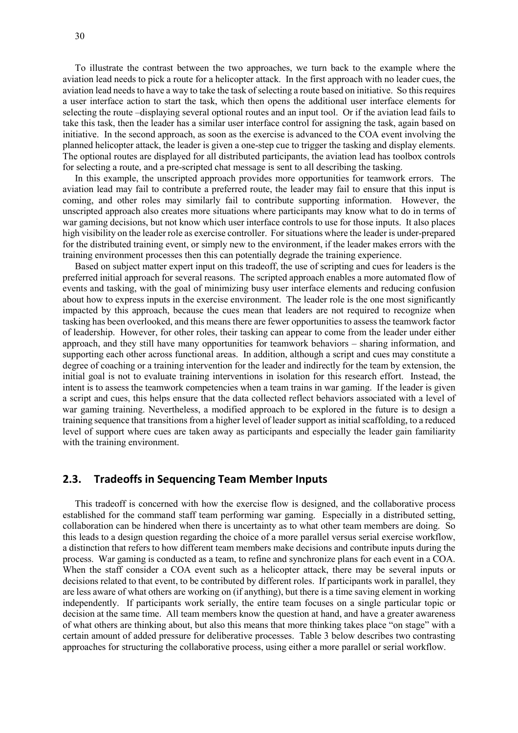To illustrate the contrast between the two approaches, we turn back to the example where the aviation lead needs to pick a route for a helicopter attack. In the first approach with no leader cues, the aviation lead needs to have a way to take the task of selecting a route based on initiative. So this requires a user interface action to start the task, which then opens the additional user interface elements for selecting the route –displaying several optional routes and an input tool. Or if the aviation lead fails to take this task, then the leader has a similar user interface control for assigning the task, again based on initiative. In the second approach, as soon as the exercise is advanced to the COA event involving the planned helicopter attack, the leader is given a one-step cue to trigger the tasking and display elements. The optional routes are displayed for all distributed participants, the aviation lead has toolbox controls for selecting a route, and a pre-scripted chat message is sent to all describing the tasking.

In this example, the unscripted approach provides more opportunities for teamwork errors. The aviation lead may fail to contribute a preferred route, the leader may fail to ensure that this input is coming, and other roles may similarly fail to contribute supporting information. However, the unscripted approach also creates more situations where participants may know what to do in terms of war gaming decisions, but not know which user interface controls to use for those inputs. It also places high visibility on the leader role as exercise controller. For situations where the leader is under-prepared for the distributed training event, or simply new to the environment, if the leader makes errors with the training environment processes then this can potentially degrade the training experience.

Based on subject matter expert input on this tradeoff, the use of scripting and cues for leaders is the preferred initial approach for several reasons. The scripted approach enables a more automated flow of events and tasking, with the goal of minimizing busy user interface elements and reducing confusion about how to express inputs in the exercise environment. The leader role is the one most significantly impacted by this approach, because the cues mean that leaders are not required to recognize when tasking has been overlooked, and this means there are fewer opportunities to assess the teamwork factor of leadership. However, for other roles, their tasking can appear to come from the leader under either approach, and they still have many opportunities for teamwork behaviors – sharing information, and supporting each other across functional areas. In addition, although a script and cues may constitute a degree of coaching or a training intervention for the leader and indirectly for the team by extension, the initial goal is not to evaluate training interventions in isolation for this research effort. Instead, the intent is to assess the teamwork competencies when a team trains in war gaming. If the leader is given a script and cues, this helps ensure that the data collected reflect behaviors associated with a level of war gaming training. Nevertheless, a modified approach to be explored in the future is to design a training sequence that transitions from a higher level of leader support as initial scaffolding, to a reduced level of support where cues are taken away as participants and especially the leader gain familiarity with the training environment.

#### **2.3. Tradeoffs in Sequencing Team Member Inputs**

This tradeoff is concerned with how the exercise flow is designed, and the collaborative process established for the command staff team performing war gaming. Especially in a distributed setting, collaboration can be hindered when there is uncertainty as to what other team members are doing. So this leads to a design question regarding the choice of a more parallel versus serial exercise workflow, a distinction that refers to how different team members make decisions and contribute inputs during the process. War gaming is conducted as a team, to refine and synchronize plans for each event in a COA. When the staff consider a COA event such as a helicopter attack, there may be several inputs or decisions related to that event, to be contributed by different roles. If participants work in parallel, they are less aware of what others are working on (if anything), but there is a time saving element in working independently. If participants work serially, the entire team focuses on a single particular topic or decision at the same time. All team members know the question at hand, and have a greater awareness of what others are thinking about, but also this means that more thinking takes place "on stage" with a certain amount of added pressure for deliberative processes. Table 3 below describes two contrasting approaches for structuring the collaborative process, using either a more parallel or serial workflow.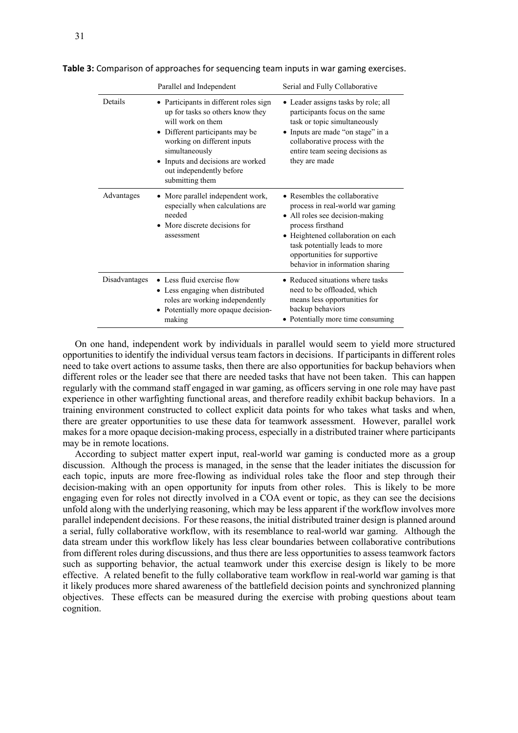|               | Parallel and Independent                                                                                                                                                                                                                                              | Serial and Fully Collaborative                                                                                                                                                                                                                                       |
|---------------|-----------------------------------------------------------------------------------------------------------------------------------------------------------------------------------------------------------------------------------------------------------------------|----------------------------------------------------------------------------------------------------------------------------------------------------------------------------------------------------------------------------------------------------------------------|
| Details       | Participants in different roles sign<br>up for tasks so others know they<br>will work on them<br>• Different participants may be<br>working on different inputs<br>simultaneously<br>• Inputs and decisions are worked<br>out independently before<br>submitting them | • Leader assigns tasks by role; all<br>participants focus on the same<br>task or topic simultaneously<br>Inputs are made "on stage" in a<br>collaborative process with the<br>entire team seeing decisions as<br>they are made                                       |
| Advantages    | More parallel independent work,<br>especially when calculations are<br>needed<br>More discrete decisions for<br>assessment                                                                                                                                            | • Resembles the collaborative<br>process in real-world war gaming<br>• All roles see decision-making<br>process firsthand<br>• Heightened collaboration on each<br>task potentially leads to more<br>opportunities for supportive<br>behavior in information sharing |
| Disadvantages | • Less fluid exercise flow<br>• Less engaging when distributed<br>roles are working independently<br>• Potentially more opaque decision-<br>making                                                                                                                    | • Reduced situations where tasks<br>need to be offloaded, which<br>means less opportunities for<br>backup behaviors<br>• Potentially more time consuming                                                                                                             |

**Table 3:** Comparison of approaches for sequencing team inputs in war gaming exercises.

On one hand, independent work by individuals in parallel would seem to yield more structured opportunities to identify the individual versus team factors in decisions. If participants in different roles need to take overt actions to assume tasks, then there are also opportunities for backup behaviors when different roles or the leader see that there are needed tasks that have not been taken. This can happen regularly with the command staff engaged in war gaming, as officers serving in one role may have past experience in other warfighting functional areas, and therefore readily exhibit backup behaviors. In a training environment constructed to collect explicit data points for who takes what tasks and when, there are greater opportunities to use these data for teamwork assessment. However, parallel work makes for a more opaque decision-making process, especially in a distributed trainer where participants may be in remote locations.

According to subject matter expert input, real-world war gaming is conducted more as a group discussion. Although the process is managed, in the sense that the leader initiates the discussion for each topic, inputs are more free-flowing as individual roles take the floor and step through their decision-making with an open opportunity for inputs from other roles. This is likely to be more engaging even for roles not directly involved in a COA event or topic, as they can see the decisions unfold along with the underlying reasoning, which may be less apparent if the workflow involves more parallel independent decisions. For these reasons, the initial distributed trainer design is planned around a serial, fully collaborative workflow, with its resemblance to real-world war gaming. Although the data stream under this workflow likely has less clear boundaries between collaborative contributions from different roles during discussions, and thus there are less opportunities to assess teamwork factors such as supporting behavior, the actual teamwork under this exercise design is likely to be more effective. A related benefit to the fully collaborative team workflow in real-world war gaming is that it likely produces more shared awareness of the battlefield decision points and synchronized planning objectives. These effects can be measured during the exercise with probing questions about team cognition.